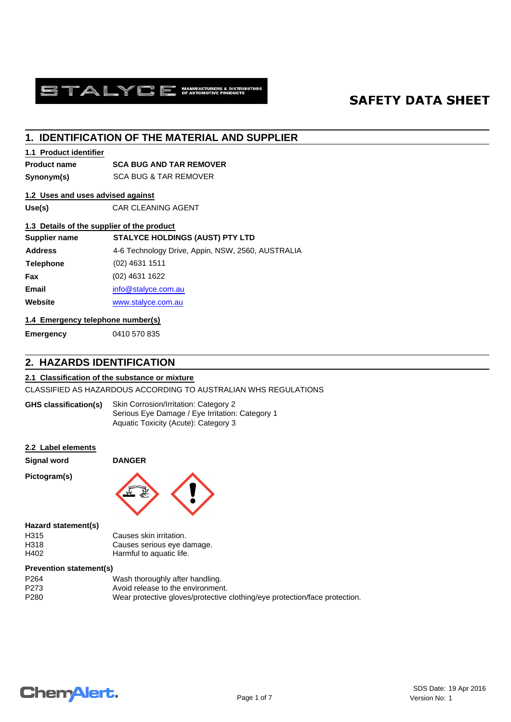

# **SAFETY DATA SHEET**

# **1. IDENTIFICATION OF THE MATERIAL AND SUPPLIER**

## **1.1 Product identifier**

## **Product name SCA BUG AND TAR REMOVER**

**Synonym(s)** SCA BUG & TAR REMOVER

## **1.2 Uses and uses advised against**

**Use(s)** CAR CLEANING AGENT

## **1.3 Details of the supplier of the product**

| Supplier name    | <b>STALYCE HOLDINGS (AUST) PTY LTD</b>            |
|------------------|---------------------------------------------------|
| <b>Address</b>   | 4-6 Technology Drive, Appin, NSW, 2560, AUSTRALIA |
| <b>Telephone</b> | $(02)$ 4631 1511                                  |
| Fax              | (02) 4631 1622                                    |
| <b>Email</b>     | info@stalyce.com.au                               |
| Website          | www.stalyce.com.au                                |
|                  |                                                   |

#### **1.4 Emergency telephone number(s)**

**Emergency** 0410 570 835

# **2. HAZARDS IDENTIFICATION**

### **2.1 Classification of the substance or mixture**

CLASSIFIED AS HAZARDOUS ACCORDING TO AUSTRALIAN WHS REGULATIONS

| <b>GHS classification(s)</b> | Skin Corrosion/Irritation: Category 2           |
|------------------------------|-------------------------------------------------|
|                              | Serious Eye Damage / Eye Irritation: Category 1 |
|                              | Aquatic Toxicity (Acute): Category 3            |

#### **2.2 Label elements**

**Signal word DANGER**

**Pictogram(s)**



#### **Hazard statement(s)**

| H315 | Causes skin irritation.    |
|------|----------------------------|
| H318 | Causes serious eye damage. |
| H402 | Harmful to aquatic life.   |

#### **Prevention statement(s)**

| P <sub>264</sub> | Wash thoroughly after handling.                                            |
|------------------|----------------------------------------------------------------------------|
| P273             | Avoid release to the environment.                                          |
| P280             | Wear protective gloves/protective clothing/eye protection/face protection. |

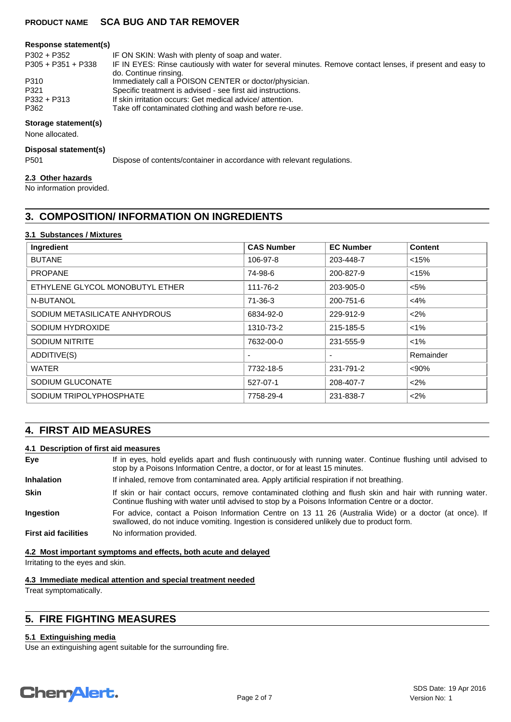#### **Response statement(s)**

| 2302 + P352           | IF ON SKIN: Wash with plenty of soap and water.  |
|-----------------------|--------------------------------------------------|
| <u>ספפת האפת האפר</u> | IF IN FVEO, Dinee coutiously with water for agua |

- IF IN EYES: Rinse cautiously with water for several minutes. Remove contact lenses, if present and easy to do. Continue rinsing. P305 + P351 + P338
- P310 Immediately call a POISON CENTER or doctor/physician.<br>P321 Specific treatment is advised see first aid instructions.
- P321 Specific treatment is advised see first aid instructions.<br>P332 + P313 If skin irritation occurs: Get medical advice/attention.

P332 + P313 If skin irritation occurs: Get medical advice/ attention.<br>P362 Take off contaminated clothing and wash before re-us Take off contaminated clothing and wash before re-use.

## **Storage statement(s)**

None allocated.

**Disposal statement(s)**

P501 Dispose of contents/container in accordance with relevant regulations.

## **2.3 Other hazards**

No information provided.

# **3. COMPOSITION/ INFORMATION ON INGREDIENTS**

#### **3.1 Substances / Mixtures**

| Ingredient                      | <b>CAS Number</b>        | <b>EC Number</b> | <b>Content</b> |
|---------------------------------|--------------------------|------------------|----------------|
| <b>BUTANE</b>                   | 106-97-8                 | 203-448-7        | < 15%          |
| <b>PROPANE</b>                  | 74-98-6                  | 200-827-9        | < 15%          |
| ETHYLENE GLYCOL MONOBUTYL ETHER | 111-76-2                 | 203-905-0        | $< 5\%$        |
| N-BUTANOL                       | $71-36-3$                | 200-751-6        | $<$ 4%         |
| SODIUM METASILICATE ANHYDROUS   | 6834-92-0                | 229-912-9        | < 2%           |
| SODIUM HYDROXIDE                | 1310-73-2                | 215-185-5        | $1\%$          |
| <b>SODIUM NITRITE</b>           | 7632-00-0                | 231-555-9        | $1\%$          |
| ADDITIVE(S)                     | $\overline{\phantom{0}}$ |                  | Remainder      |
| <b>WATER</b>                    | 7732-18-5                | 231-791-2        | < 90%          |
| SODIUM GLUCONATE                | 527-07-1                 | 208-407-7        | < 2%           |
| SODIUM TRIPOLYPHOSPHATE         | 7758-29-4                | 231-838-7        | < 2%           |

# **4. FIRST AID MEASURES**

### **4.1 Description of first aid measures**

| If in eyes, hold eyelids apart and flush continuously with running water. Continue flushing until advised to<br>stop by a Poisons Information Centre, a doctor, or for at least 15 minutes.                 |
|-------------------------------------------------------------------------------------------------------------------------------------------------------------------------------------------------------------|
| If inhaled, remove from contaminated area. Apply artificial respiration if not breathing.                                                                                                                   |
| If skin or hair contact occurs, remove contaminated clothing and flush skin and hair with running water.<br>Continue flushing with water until advised to stop by a Poisons Information Centre or a doctor. |
| For advice, contact a Poison Information Centre on 13 11 26 (Australia Wide) or a doctor (at once). If<br>swallowed, do not induce vomiting. Ingestion is considered unlikely due to product form.          |
| No information provided.                                                                                                                                                                                    |
|                                                                                                                                                                                                             |

#### **4.2 Most important symptoms and effects, both acute and delayed**

Irritating to the eyes and skin.

#### **4.3 Immediate medical attention and special treatment needed**

Treat symptomatically.

# **5. FIRE FIGHTING MEASURES**

#### **5.1 Extinguishing media**

Use an extinguishing agent suitable for the surrounding fire.

# **ChemAlert.**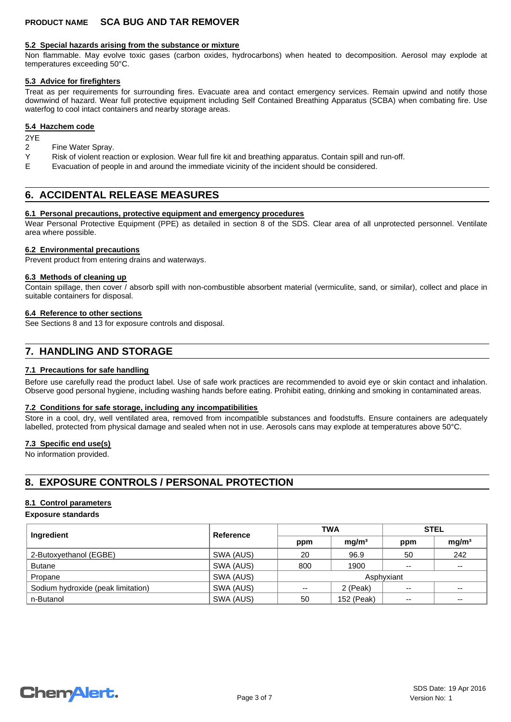#### **5.2 Special hazards arising from the substance or mixture**

Non flammable. May evolve toxic gases (carbon oxides, hydrocarbons) when heated to decomposition. Aerosol may explode at temperatures exceeding 50°C.

## **5.3 Advice for firefighters**

Treat as per requirements for surrounding fires. Evacuate area and contact emergency services. Remain upwind and notify those downwind of hazard. Wear full protective equipment including Self Contained Breathing Apparatus (SCBA) when combating fire. Use waterfog to cool intact containers and nearby storage areas.

### **5.4 Hazchem code**

2YE

- Fine Water Spray.
- Y Risk of violent reaction or explosion. Wear full fire kit and breathing apparatus. Contain spill and run-off.
- E Evacuation of people in and around the immediate vicinity of the incident should be considered.

# **6. ACCIDENTAL RELEASE MEASURES**

## **6.1 Personal precautions, protective equipment and emergency procedures**

Wear Personal Protective Equipment (PPE) as detailed in section 8 of the SDS. Clear area of all unprotected personnel. Ventilate area where possible.

#### **6.2 Environmental precautions**

Prevent product from entering drains and waterways.

#### **6.3 Methods of cleaning up**

Contain spillage, then cover / absorb spill with non-combustible absorbent material (vermiculite, sand, or similar), collect and place in suitable containers for disposal.

#### **6.4 Reference to other sections**

See Sections 8 and 13 for exposure controls and disposal.

# **7. HANDLING AND STORAGE**

## **7.1 Precautions for safe handling**

Before use carefully read the product label. Use of safe work practices are recommended to avoid eye or skin contact and inhalation. Observe good personal hygiene, including washing hands before eating. Prohibit eating, drinking and smoking in contaminated areas.

#### **7.2 Conditions for safe storage, including any incompatibilities**

Store in a cool, dry, well ventilated area, removed from incompatible substances and foodstuffs. Ensure containers are adequately labelled, protected from physical damage and sealed when not in use. Aerosols cans may explode at temperatures above 50°C.

#### **7.3 Specific end use(s)**

No information provided.

# **8. EXPOSURE CONTROLS / PERSONAL PROTECTION**

## **8.1 Control parameters**

#### **Exposure standards**

| Ingredient                         | Reference | <b>TWA</b> |                   | <b>STEL</b> |                   |
|------------------------------------|-----------|------------|-------------------|-------------|-------------------|
|                                    |           | ppm        | mg/m <sup>3</sup> | ppm         | mg/m <sup>3</sup> |
| 2-Butoxyethanol (EGBE)             | SWA (AUS) | 20         | 96.9              | 50          | 242               |
| <b>Butane</b>                      | SWA (AUS) | 800        | 1900              | --          | $- -$             |
| Propane                            | SWA (AUS) | Asphyxiant |                   |             |                   |
| Sodium hydroxide (peak limitation) | SWA (AUS) | $- -$      | 2 (Peak)          | --          | $- -$             |
| n-Butanol                          | SWA (AUS) | 50         | 152 (Peak)        | $- -$       | $- -$             |

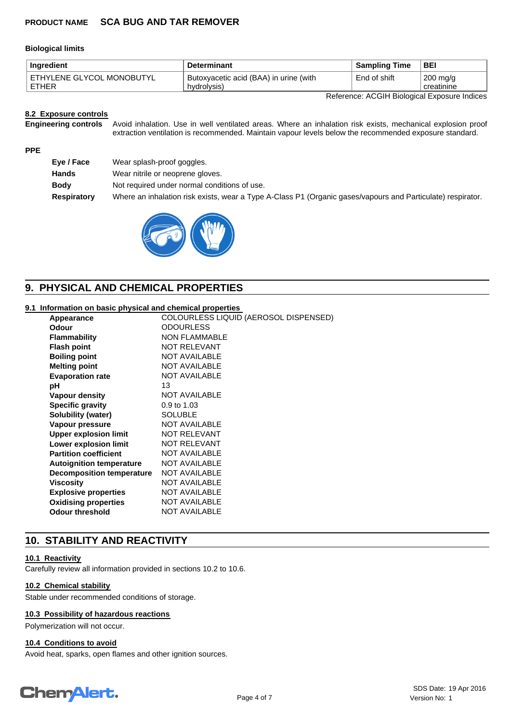#### **Biological limits**

| Ingredient                  | <b>Determinant</b>                     | <b>Sampling Time</b> | <b>BEI</b>         |
|-----------------------------|----------------------------------------|----------------------|--------------------|
| ' ETHYLENE GLYCOL MONOBUTYL | Butoxyacetic acid (BAA) in urine (with | End of shift         | $200 \text{ mg/g}$ |
| <b>ETHER</b>                | hydrolysis)                            |                      | creatinine         |

Reference: ACGIH Biological Exposure Indices

#### **8.2 Exposure controls**

| Engineering controls Avoid inhalation. Use in well ventilated areas. Where an inhalation risk exists, mechanical explosion proof |
|----------------------------------------------------------------------------------------------------------------------------------|
| extraction ventilation is recommended. Maintain vapour levels below the recommended exposure standard.                           |

# **PPE**

| Eye / Face   | Wear splash-proof goggles.                                                                                  |
|--------------|-------------------------------------------------------------------------------------------------------------|
| <b>Hands</b> | Wear nitrile or neoprene gloves.                                                                            |
| <b>Body</b>  | Not required under normal conditions of use.                                                                |
| Respiratory  | Where an inhalation risk exists, wear a Type A-Class P1 (Organic gases/vapours and Particulate) respirator. |



# **9. PHYSICAL AND CHEMICAL PROPERTIES**

## **9.1 Information on basic physical and chemical properties**

| Appearance                      | COLOURLESS LIQUID (AEROSOL DISPENSED) |
|---------------------------------|---------------------------------------|
| Odour                           | <b>ODOURLESS</b>                      |
| <b>Flammability</b>             | <b>NON FLAMMABLE</b>                  |
| <b>Flash point</b>              | <b>NOT RELEVANT</b>                   |
| <b>Boiling point</b>            | <b>NOT AVAILABLE</b>                  |
| <b>Melting point</b>            | <b>NOT AVAILABLE</b>                  |
| <b>Evaporation rate</b>         | <b>NOT AVAILABLE</b>                  |
| рH                              | 13                                    |
| Vapour density                  | <b>NOT AVAILABLE</b>                  |
| <b>Specific gravity</b>         | 0.9 to 1.03                           |
| <b>Solubility (water)</b>       | <b>SOLUBLE</b>                        |
| Vapour pressure                 | <b>NOT AVAILABLE</b>                  |
| <b>Upper explosion limit</b>    | <b>NOT RELEVANT</b>                   |
| Lower explosion limit           | <b>NOT RELEVANT</b>                   |
| <b>Partition coefficient</b>    | <b>NOT AVAILABLE</b>                  |
| <b>Autoignition temperature</b> | <b>NOT AVAILABLE</b>                  |
| Decomposition temperature       | <b>NOT AVAILABLE</b>                  |
| <b>Viscosity</b>                | <b>NOT AVAILABLE</b>                  |
| <b>Explosive properties</b>     | <b>NOT AVAILABLE</b>                  |
| <b>Oxidising properties</b>     | <b>NOT AVAILABLE</b>                  |
| <b>Odour threshold</b>          | <b>NOT AVAILABLE</b>                  |

# **10. STABILITY AND REACTIVITY**

## **10.1 Reactivity**

Carefully review all information provided in sections 10.2 to 10.6.

## **10.2 Chemical stability**

Stable under recommended conditions of storage.

### **10.3 Possibility of hazardous reactions**

Polymerization will not occur.

## **10.4 Conditions to avoid**

Avoid heat, sparks, open flames and other ignition sources.

# **Chemalert.**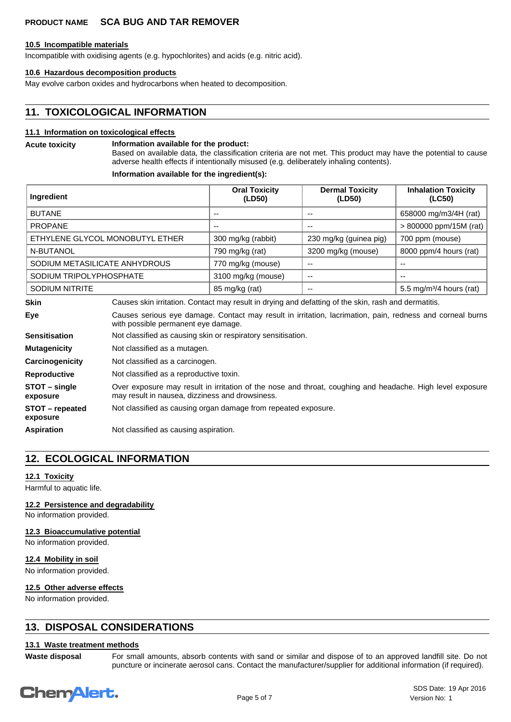#### **10.5 Incompatible materials**

Incompatible with oxidising agents (e.g. hypochlorites) and acids (e.g. nitric acid).

#### **10.6 Hazardous decomposition products**

May evolve carbon oxides and hydrocarbons when heated to decomposition.

# **11. TOXICOLOGICAL INFORMATION**

## **11.1 Information on toxicological effects**

#### **Acute toxicity Information available for the product:**

Based on available data, the classification criteria are not met. This product may have the potential to cause adverse health effects if intentionally misused (e.g. deliberately inhaling contents).

#### **Information available for the ingredient(s):**

| Ingredient                    |                                    | <b>Oral Toxicity</b><br>(LD50) | <b>Dermal Toxicity</b><br>(LD50)                                                                          | <b>Inhalation Toxicity</b><br>(LC50) |
|-------------------------------|------------------------------------|--------------------------------|-----------------------------------------------------------------------------------------------------------|--------------------------------------|
| <b>BUTANE</b>                 |                                    |                                |                                                                                                           | 658000 mg/m3/4H (rat)                |
| <b>PROPANE</b>                |                                    | $-$                            | $- -$                                                                                                     | $> 800000$ ppm/15M (rat)             |
|                               | ETHYLENE GLYCOL MONOBUTYL ETHER    | 300 mg/kg (rabbit)             | 230 mg/kg (guinea pig)                                                                                    | 700 ppm (mouse)                      |
| N-BUTANOL                     |                                    | 790 mg/kg (rat)                | 3200 mg/kg (mouse)                                                                                        | 8000 ppm/4 hours (rat)               |
| SODIUM METASILICATE ANHYDROUS |                                    | 770 mg/kg (mouse)              | $- -$                                                                                                     | --                                   |
| SODIUM TRIPOLYPHOSPHATE       |                                    | 3100 mg/kg (mouse)             | --                                                                                                        |                                      |
| <b>SODIUM NITRITE</b>         |                                    | 85 mg/kg (rat)                 | $- -$                                                                                                     | 5.5 mg/m $3/4$ hours (rat)           |
| <b>Skin</b>                   |                                    |                                | Causes skin irritation. Contact may result in drying and defatting of the skin, rash and dermatitis.      |                                      |
| Eye                           | with nossible nermanent eve damage |                                | Causes serious eye damage. Contact may result in irritation, lacrimation, pain, redness and corneal burns |                                      |

| <b>Sensitisation</b>        | Not classified as causing skin or respiratory sensitisation.                                                                                                 |  |
|-----------------------------|--------------------------------------------------------------------------------------------------------------------------------------------------------------|--|
| <b>Mutagenicity</b>         | Not classified as a mutagen.                                                                                                                                 |  |
| Carcinogenicity             | Not classified as a carcinogen.                                                                                                                              |  |
| <b>Reproductive</b>         | Not classified as a reproductive toxin.                                                                                                                      |  |
| STOT – single<br>exposure   | Over exposure may result in irritation of the nose and throat, coughing and headache. High level exposure<br>may result in nausea, dizziness and drowsiness. |  |
| STOT - repeated<br>exposure | Not classified as causing organ damage from repeated exposure.                                                                                               |  |
| <b>Aspiration</b>           | Not classified as causing aspiration.                                                                                                                        |  |

# **12. ECOLOGICAL INFORMATION**

## **12.1 Toxicity**

Harmful to aquatic life.

**12.2 Persistence and degradability**

No information provided.

#### **12.3 Bioaccumulative potential**

No information provided.

#### **12.4 Mobility in soil**

No information provided.

## **12.5 Other adverse effects**

No information provided.

# **13. DISPOSAL CONSIDERATIONS**

## **13.1 Waste treatment methods**

**Waste disposal** For small amounts, absorb contents with sand or similar and dispose of to an approved landfill site. Do not puncture or incinerate aerosol cans. Contact the manufacturer/supplier for additional information (if required).

# **ChemAlert.**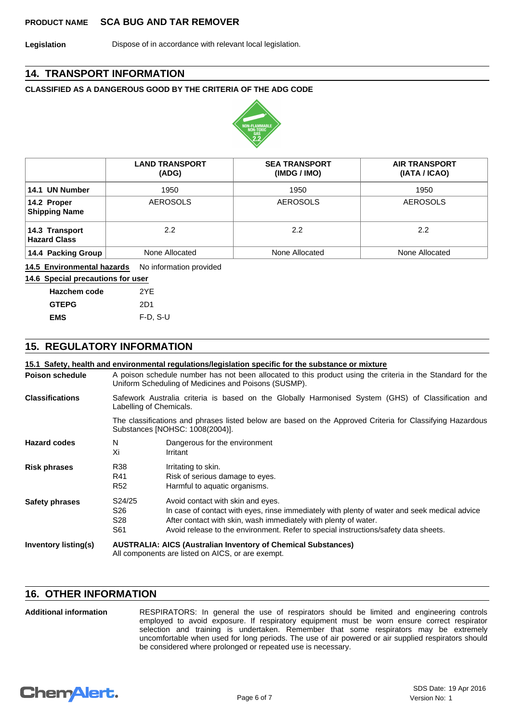Legislation **Dispose of in accordance with relevant local legislation.** 

# **14. TRANSPORT INFORMATION**

# **CLASSIFIED AS A DANGEROUS GOOD BY THE CRITERIA OF THE ADG CODE**



|                                       | <b>LAND TRANSPORT</b><br>(ADG) | <b>SEA TRANSPORT</b><br>(IMDG / IMO) | <b>AIR TRANSPORT</b><br>(IATA / ICAO) |
|---------------------------------------|--------------------------------|--------------------------------------|---------------------------------------|
| 14.1 UN Number                        | 1950                           | 1950                                 | 1950                                  |
| 14.2 Proper<br><b>Shipping Name</b>   | <b>AEROSOLS</b>                | <b>AEROSOLS</b>                      | <b>AEROSOLS</b>                       |
| 14.3 Transport<br><b>Hazard Class</b> | 2.2                            | 2.2                                  | 2.2                                   |
| 14.4 Packing Group                    | None Allocated                 | None Allocated                       | None Allocated                        |

**14.5 Environmental hazards** No information provided

#### **14.6 Special precautions for user**

| Hazchem code | 2YF        |
|--------------|------------|
| <b>GTEPG</b> | 2D1        |
| EMS          | $F-D, S-U$ |

# **15. REGULATORY INFORMATION**

|                        |                                                                                                                                                                    | 15.1 Safety, health and environmental regulations/legislation specific for the substance or mixture                                                                                                                                                                                         |
|------------------------|--------------------------------------------------------------------------------------------------------------------------------------------------------------------|---------------------------------------------------------------------------------------------------------------------------------------------------------------------------------------------------------------------------------------------------------------------------------------------|
| <b>Poison schedule</b> | A poison schedule number has not been allocated to this product using the criteria in the Standard for the<br>Uniform Scheduling of Medicines and Poisons (SUSMP). |                                                                                                                                                                                                                                                                                             |
| <b>Classifications</b> | Safework Australia criteria is based on the Globally Harmonised System (GHS) of Classification and<br>Labelling of Chemicals.                                      |                                                                                                                                                                                                                                                                                             |
|                        |                                                                                                                                                                    | The classifications and phrases listed below are based on the Approved Criteria for Classifying Hazardous<br>Substances [NOHSC: 1008(2004)].                                                                                                                                                |
| <b>Hazard codes</b>    | N<br>Xi                                                                                                                                                            | Dangerous for the environment<br>Irritant                                                                                                                                                                                                                                                   |
| <b>Risk phrases</b>    | <b>R38</b><br>R41<br>R <sub>52</sub>                                                                                                                               | Irritating to skin.<br>Risk of serious damage to eyes.<br>Harmful to aquatic organisms.                                                                                                                                                                                                     |
| Safety phrases         | S24/25<br>S <sub>26</sub><br>S <sub>28</sub><br>S61                                                                                                                | Avoid contact with skin and eyes.<br>In case of contact with eyes, rinse immediately with plenty of water and seek medical advice<br>After contact with skin, wash immediately with plenty of water.<br>Avoid release to the environment. Refer to special instructions/safety data sheets. |
| Inventory listing(s)   | <b>AUSTRALIA: AICS (Australian Inventory of Chemical Substances)</b><br>All components are listed on AICS, or are exempt.                                          |                                                                                                                                                                                                                                                                                             |

## **16. OTHER INFORMATION**

RESPIRATORS: In general the use of respirators should be limited and engineering controls employed to avoid exposure. If respiratory equipment must be worn ensure correct respirator selection and training is undertaken. Remember that some respirators may be extremely uncomfortable when used for long periods. The use of air powered or air supplied respirators should be considered where prolonged or repeated use is necessary. **Additional information**

# **ChemAlert.**